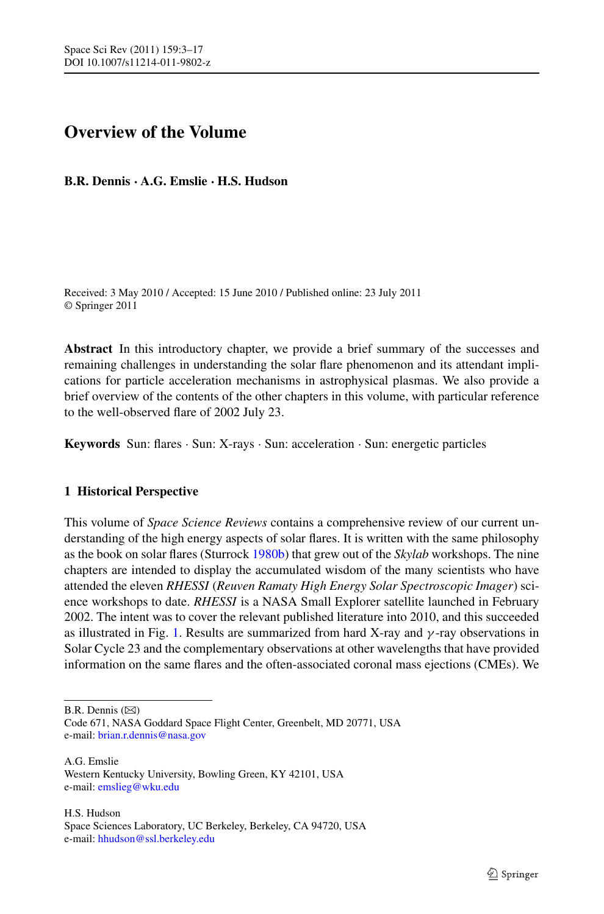# **Overview of the Volume**

# **B.R. Dennis · A.G. Emslie · H.S. Hudson**

Received: 3 May 2010 / Accepted: 15 June 2010 / Published online: 23 July 2011 © Springer 2011

**Abstract** In this introductory chapter, we provide a brief summary of the successes and remaining challenges in understanding the solar flare phenomenon and its attendant implications for particle acceleration mechanisms in astrophysical plasmas. We also provide a brief overview of the contents of the other chapters in this volume, with particular reference to the well-observed flare of 2002 July 23.

**Keywords** Sun: flares · Sun: X-rays · Sun: acceleration · Sun: energetic particles

# **1 Historical Perspective**

This volume of *Space Science Reviews* contains a comprehensive review of our current understanding of the high energy aspects of solar flares. It is written with the same philosophy as the book on solar flares (Sturrock [1980b](#page-14-0)) that grew out of the *Skylab* workshops. The nine chapters are intended to display the accumulated wisdom of the many scientists who have attended the eleven *RHESSI* (*Reuven Ramaty High Energy Solar Spectroscopic Imager*) science workshops to date. *RHESSI* is a NASA Small Explorer satellite launched in February 2002. The intent was to cover the relevant published literature into 2010, and this succeeded as illustrated in Fig. [1](#page-1-0). Results are summarized from hard X-ray and *γ* -ray observations in Solar Cycle 23 and the complementary observations at other wavelengths that have provided information on the same flares and the often-associated coronal mass ejections (CMEs). We

 $B.R.$  Dennis ( $\boxtimes$ )

Code 671, NASA Goddard Space Flight Center, Greenbelt, MD 20771, USA e-mail: [brian.r.dennis@nasa.gov](mailto:brian.r.dennis@nasa.gov)

A.G. Emslie Western Kentucky University, Bowling Green, KY 42101, USA e-mail: [emslieg@wku.edu](mailto:emslieg@wku.edu)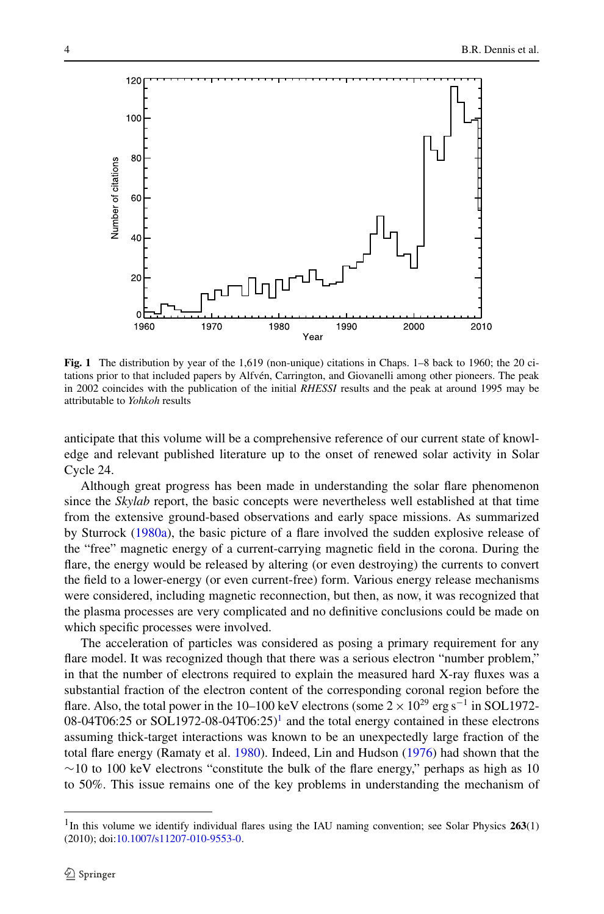

<span id="page-1-0"></span>**Fig. 1** The distribution by year of the 1,619 (non-unique) citations in Chaps. 1–8 back to 1960; the 20 citations prior to that included papers by Alfvén, Carrington, and Giovanelli among other pioneers. The peak in 2002 coincides with the publication of the initial *RHESSI* results and the peak at around 1995 may be attributable to *Yohkoh* results

anticipate that this volume will be a comprehensive reference of our current state of knowledge and relevant published literature up to the onset of renewed solar activity in Solar Cycle 24.

Although great progress has been made in understanding the solar flare phenomenon since the *Skylab* report, the basic concepts were nevertheless well established at that time from the extensive ground-based observations and early space missions. As summarized by Sturrock [\(1980a\)](#page-14-1), the basic picture of a flare involved the sudden explosive release of the "free" magnetic energy of a current-carrying magnetic field in the corona. During the flare, the energy would be released by altering (or even destroying) the currents to convert the field to a lower-energy (or even current-free) form. Various energy release mechanisms were considered, including magnetic reconnection, but then, as now, it was recognized that the plasma processes are very complicated and no definitive conclusions could be made on which specific processes were involved.

<span id="page-1-1"></span>The acceleration of particles was considered as posing a primary requirement for any flare model. It was recognized though that there was a serious electron "number problem," in that the number of electrons required to explain the measured hard X-ray fluxes was a substantial fraction of the electron content of the corresponding coronal region before the flare. Also, the total power in the 10–100 keV electrons (some  $2 \times 10^{29}$  erg s<sup>-1</sup> in SOL1972-08-04T06:25 or SOL1972-08-04T06:25<sup>1</sup> and the total energy contained in these electrons assuming thick-target interactions was known to be an unexpectedly large fraction of the total flare energy (Ramaty et al. [1980\)](#page-13-0). Indeed, Lin and Hudson ([1976\)](#page-13-1) had shown that the  $~100$  to 100 keV electrons "constitute the bulk of the flare energy," perhaps as high as 10 to 50%. This issue remains one of the key problems in understanding the mechanism of

 $1$ In this volume we identify individual flares using the IAU naming convention; see Solar Physics  $263(1)$ (2010); doi:[10.1007/s11207-010-9553-0.](http://dx.doi.org/10.1007/s11207-010-9553-0)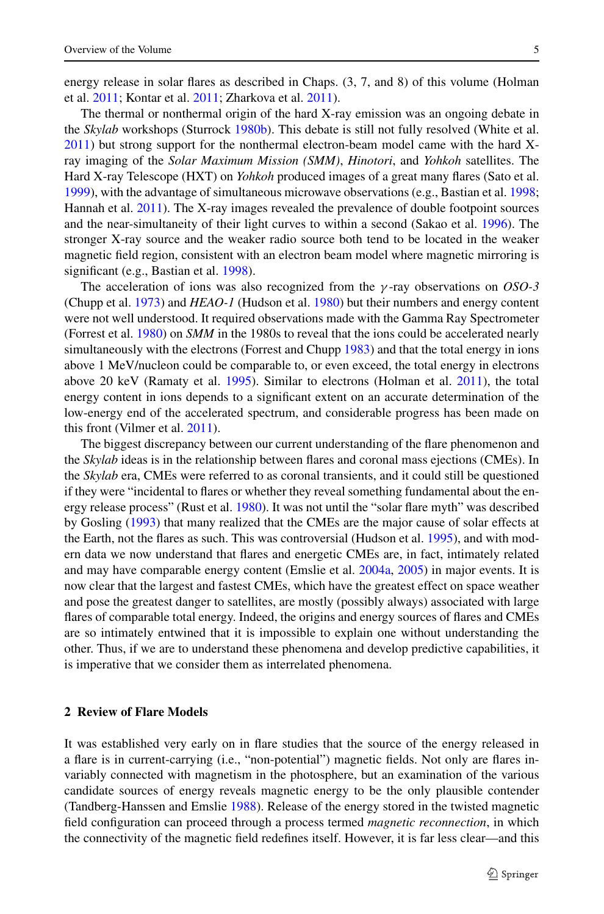energy release in solar flares as described in Chaps. (3, 7, and 8) of this volume (Holman et al. [2011;](#page-13-2) Kontar et al. [2011;](#page-13-3) Zharkova et al. [2011](#page-14-2)).

The thermal or nonthermal origin of the hard X-ray emission was an ongoing debate in the *Skylab* workshops (Sturrock [1980b](#page-14-0)). This debate is still not fully resolved (White et al. [2011\)](#page-14-3) but strong support for the nonthermal electron-beam model came with the hard Xray imaging of the *Solar Maximum Mission (SMM)*, *Hinotori*, and *Yohkoh* satellites. The Hard X-ray Telescope (HXT) on *Yohkoh* produced images of a great many flares (Sato et al. [1999\)](#page-13-4), with the advantage of simultaneous microwave observations (e.g., Bastian et al. [1998;](#page-12-0) Hannah et al. [2011\)](#page-13-5). The X-ray images revealed the prevalence of double footpoint sources and the near-simultaneity of their light curves to within a second (Sakao et al. [1996](#page-13-6)). The stronger X-ray source and the weaker radio source both tend to be located in the weaker magnetic field region, consistent with an electron beam model where magnetic mirroring is significant (e.g., Bastian et al. [1998\)](#page-12-0).

The acceleration of ions was also recognized from the *γ* -ray observations on *OSO-3* (Chupp et al. [1973\)](#page-12-1) and *HEAO-1* (Hudson et al. [1980](#page-13-7)) but their numbers and energy content were not well understood. It required observations made with the Gamma Ray Spectrometer (Forrest et al. [1980](#page-13-8)) on *SMM* in the 1980s to reveal that the ions could be accelerated nearly simultaneously with the electrons (Forrest and Chupp [1983](#page-13-9)) and that the total energy in ions above 1 MeV/nucleon could be comparable to, or even exceed, the total energy in electrons above 20 keV (Ramaty et al. [1995](#page-13-10)). Similar to electrons (Holman et al. [2011\)](#page-13-2), the total energy content in ions depends to a significant extent on an accurate determination of the low-energy end of the accelerated spectrum, and considerable progress has been made on this front (Vilmer et al. [2011](#page-14-4)).

The biggest discrepancy between our current understanding of the flare phenomenon and the *Skylab* ideas is in the relationship between flares and coronal mass ejections (CMEs). In the *Skylab* era, CMEs were referred to as coronal transients, and it could still be questioned if they were "incidental to flares or whether they reveal something fundamental about the energy release process" (Rust et al. [1980](#page-13-11)). It was not until the "solar flare myth" was described by Gosling ([1993\)](#page-13-12) that many realized that the CMEs are the major cause of solar effects at the Earth, not the flares as such. This was controversial (Hudson et al. [1995\)](#page-13-13), and with modern data we now understand that flares and energetic CMEs are, in fact, intimately related and may have comparable energy content (Emslie et al. [2004a](#page-13-14), [2005](#page-12-2)) in major events. It is now clear that the largest and fastest CMEs, which have the greatest effect on space weather and pose the greatest danger to satellites, are mostly (possibly always) associated with large flares of comparable total energy. Indeed, the origins and energy sources of flares and CMEs are so intimately entwined that it is impossible to explain one without understanding the other. Thus, if we are to understand these phenomena and develop predictive capabilities, it is imperative that we consider them as interrelated phenomena.

# **2 Review of Flare Models**

It was established very early on in flare studies that the source of the energy released in a flare is in current-carrying (i.e., "non-potential") magnetic fields. Not only are flares invariably connected with magnetism in the photosphere, but an examination of the various candidate sources of energy reveals magnetic energy to be the only plausible contender (Tandberg-Hanssen and Emslie [1988\)](#page-14-5). Release of the energy stored in the twisted magnetic field configuration can proceed through a process termed *magnetic reconnection*, in which the connectivity of the magnetic field redefines itself. However, it is far less clear—and this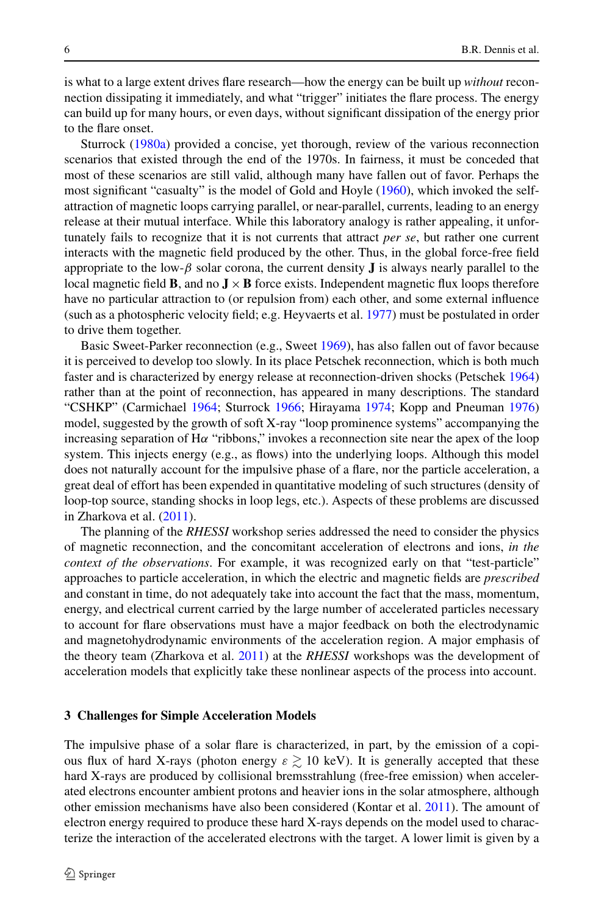is what to a large extent drives flare research—how the energy can be built up *without* reconnection dissipating it immediately, and what "trigger" initiates the flare process. The energy can build up for many hours, or even days, without significant dissipation of the energy prior to the flare onset.

Sturrock ([1980a\)](#page-14-1) provided a concise, yet thorough, review of the various reconnection scenarios that existed through the end of the 1970s. In fairness, it must be conceded that most of these scenarios are still valid, although many have fallen out of favor. Perhaps the most significant "casualty" is the model of Gold and Hoyle ([1960\)](#page-13-15), which invoked the selfattraction of magnetic loops carrying parallel, or near-parallel, currents, leading to an energy release at their mutual interface. While this laboratory analogy is rather appealing, it unfortunately fails to recognize that it is not currents that attract *per se*, but rather one current interacts with the magnetic field produced by the other. Thus, in the global force-free field appropriate to the low- $\beta$  solar corona, the current density **J** is always nearly parallel to the local magnetic field **B**, and no  $\mathbf{J} \times \mathbf{B}$  force exists. Independent magnetic flux loops therefore have no particular attraction to (or repulsion from) each other, and some external influence (such as a photospheric velocity field; e.g. Heyvaerts et al. [1977](#page-13-16)) must be postulated in order to drive them together.

Basic Sweet-Parker reconnection (e.g., Sweet [1969](#page-14-6)), has also fallen out of favor because it is perceived to develop too slowly. In its place Petschek reconnection, which is both much faster and is characterized by energy release at reconnection-driven shocks (Petschek [1964](#page-13-17)) rather than at the point of reconnection, has appeared in many descriptions. The standard "CSHKP" (Carmichael [1964](#page-12-3); Sturrock [1966](#page-14-7); Hirayama [1974;](#page-13-18) Kopp and Pneuman [1976](#page-13-19)) model, suggested by the growth of soft X-ray "loop prominence systems" accompanying the increasing separation of H*α* "ribbons," invokes a reconnection site near the apex of the loop system. This injects energy (e.g., as flows) into the underlying loops. Although this model does not naturally account for the impulsive phase of a flare, nor the particle acceleration, a great deal of effort has been expended in quantitative modeling of such structures (density of loop-top source, standing shocks in loop legs, etc.). Aspects of these problems are discussed in Zharkova et al. ([2011\)](#page-14-2).

The planning of the *RHESSI* workshop series addressed the need to consider the physics of magnetic reconnection, and the concomitant acceleration of electrons and ions, *in the context of the observations*. For example, it was recognized early on that "test-particle" approaches to particle acceleration, in which the electric and magnetic fields are *prescribed* and constant in time, do not adequately take into account the fact that the mass, momentum, energy, and electrical current carried by the large number of accelerated particles necessary to account for flare observations must have a major feedback on both the electrodynamic and magnetohydrodynamic environments of the acceleration region. A major emphasis of the theory team (Zharkova et al. [2011](#page-14-2)) at the *RHESSI* workshops was the development of acceleration models that explicitly take these nonlinear aspects of the process into account.

# **3 Challenges for Simple Acceleration Models**

The impulsive phase of a solar flare is characterized, in part, by the emission of a copious flux of hard X-rays (photon energy  $\varepsilon \gtrsim 10$  keV). It is generally accepted that these hard X-rays are produced by collisional bremsstrahlung (free-free emission) when accelerated electrons encounter ambient protons and heavier ions in the solar atmosphere, although other emission mechanisms have also been considered (Kontar et al. [2011](#page-13-3)). The amount of electron energy required to produce these hard X-rays depends on the model used to characterize the interaction of the accelerated electrons with the target. A lower limit is given by a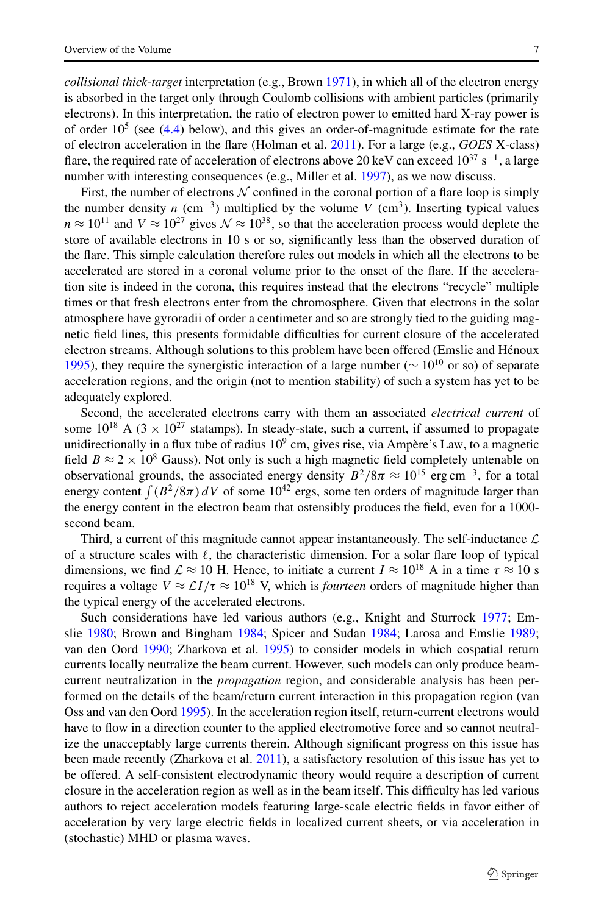*collisional thick-target* interpretation (e.g., Brown [1971](#page-12-4)), in which all of the electron energy is absorbed in the target only through Coulomb collisions with ambient particles (primarily electrons). In this interpretation, the ratio of electron power to emitted hard X-ray power is of order  $10^5$  (see [\(4.4](#page-5-0)) below), and this gives an order-of-magnitude estimate for the rate of electron acceleration in the flare (Holman et al. [2011\)](#page-13-2). For a large (e.g., *GOES* X-class) flare, the required rate of acceleration of electrons above 20 keV can exceed  $10^{37}$  s<sup>-1</sup>, a large number with interesting consequences (e.g., Miller et al. [1997](#page-13-20)), as we now discuss.

First, the number of electrons  $N$  confined in the coronal portion of a flare loop is simply the number density *n* (cm<sup>-3</sup>) multiplied by the volume *V* (cm<sup>3</sup>). Inserting typical values  $n \approx 10^{11}$  and  $V \approx 10^{27}$  gives  $\mathcal{N} \approx 10^{38}$ , so that the acceleration process would deplete the store of available electrons in 10 s or so, significantly less than the observed duration of the flare. This simple calculation therefore rules out models in which all the electrons to be accelerated are stored in a coronal volume prior to the onset of the flare. If the acceleration site is indeed in the corona, this requires instead that the electrons "recycle" multiple times or that fresh electrons enter from the chromosphere. Given that electrons in the solar atmosphere have gyroradii of order a centimeter and so are strongly tied to the guiding magnetic field lines, this presents formidable difficulties for current closure of the accelerated electron streams. Although solutions to this problem have been offered (Emslie and Hénoux [1995\)](#page-12-5), they require the synergistic interaction of a large number ( $\sim 10^{10}$  or so) of separate acceleration regions, and the origin (not to mention stability) of such a system has yet to be adequately explored.

Second, the accelerated electrons carry with them an associated *electrical current* of some  $10^{18}$  A (3 ×  $10^{27}$  statamps). In steady-state, such a current, if assumed to propagate unidirectionally in a flux tube of radius  $10^9$  cm, gives rise, via Ampère's Law, to a magnetic field  $B \approx 2 \times 10^8$  Gauss). Not only is such a high magnetic field completely untenable on observational grounds, the associated energy density  $B^2/8\pi \approx 10^{15}$  erg cm<sup>-3</sup>, for a total energy content  $\int (B^2/8\pi) dV$  of some 10<sup>42</sup> ergs, some ten orders of magnitude larger than the energy content in the electron beam that ostensibly produces the field, even for a 1000 second beam.

Third, a current of this magnitude cannot appear instantaneously. The self-inductance  $\mathcal{L}$ of a structure scales with  $\ell$ , the characteristic dimension. For a solar flare loop of typical dimensions, we find  $\mathcal{L} \approx 10$  H. Hence, to initiate a current  $I \approx 10^{18}$  A in a time  $\tau \approx 10$  s requires a voltage  $V \approx \mathcal{L}I/\tau \approx 10^{18}$  V, which is *fourteen* orders of magnitude higher than the typical energy of the accelerated electrons.

Such considerations have led various authors (e.g., Knight and Sturrock [1977](#page-13-21); Emslie [1980](#page-12-6); Brown and Bingham [1984;](#page-12-7) Spicer and Sudan [1984;](#page-14-8) Larosa and Emslie [1989;](#page-13-22) van den Oord [1990](#page-14-9); Zharkova et al. [1995\)](#page-14-10) to consider models in which cospatial return currents locally neutralize the beam current. However, such models can only produce beamcurrent neutralization in the *propagation* region, and considerable analysis has been performed on the details of the beam/return current interaction in this propagation region (van Oss and van den Oord [1995](#page-14-11)). In the acceleration region itself, return-current electrons would have to flow in a direction counter to the applied electromotive force and so cannot neutralize the unacceptably large currents therein. Although significant progress on this issue has been made recently (Zharkova et al. [2011\)](#page-14-2), a satisfactory resolution of this issue has yet to be offered. A self-consistent electrodynamic theory would require a description of current closure in the acceleration region as well as in the beam itself. This difficulty has led various authors to reject acceleration models featuring large-scale electric fields in favor either of acceleration by very large electric fields in localized current sheets, or via acceleration in (stochastic) MHD or plasma waves.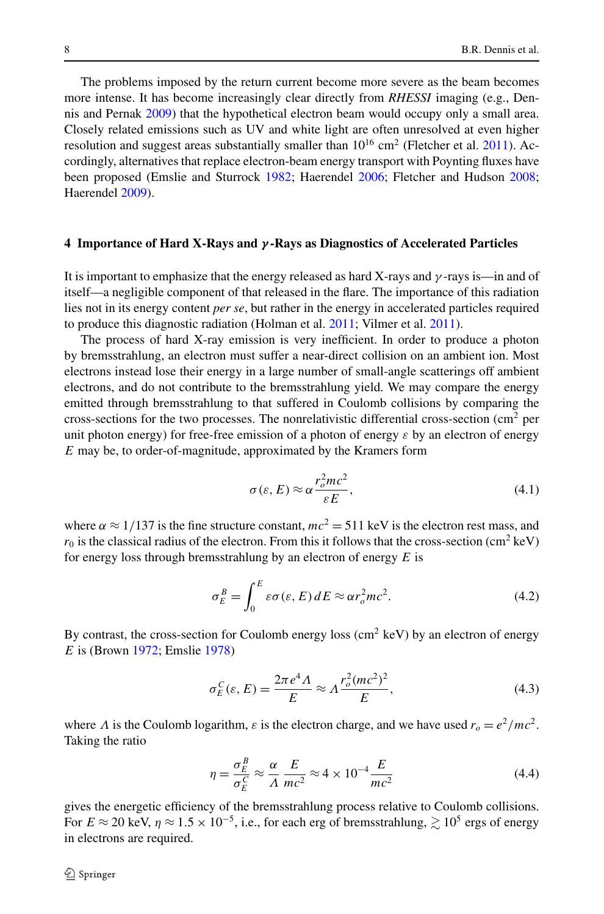The problems imposed by the return current become more severe as the beam becomes more intense. It has become increasingly clear directly from *RHESSI* imaging (e.g., Dennis and Pernak [2009](#page-12-8)) that the hypothetical electron beam would occupy only a small area. Closely related emissions such as UV and white light are often unresolved at even higher resolution and suggest areas substantially smaller than  $10^{16}$  cm<sup>2</sup> (Fletcher et al. [2011](#page-13-23)). Accordingly, alternatives that replace electron-beam energy transport with Poynting fluxes have been proposed (Emslie and Sturrock [1982](#page-13-24); Haerendel [2006;](#page-13-25) Fletcher and Hudson [2008;](#page-13-26) Haerendel [2009](#page-13-27)).

## **4 Importance of Hard X-Rays and** *γ* **-Rays as Diagnostics of Accelerated Particles**

It is important to emphasize that the energy released as hard X-rays and *γ* -rays is—in and of itself—a negligible component of that released in the flare. The importance of this radiation lies not in its energy content *per se*, but rather in the energy in accelerated particles required to produce this diagnostic radiation (Holman et al. [2011](#page-13-2); Vilmer et al. [2011\)](#page-14-4).

The process of hard X-ray emission is very inefficient. In order to produce a photon by bremsstrahlung, an electron must suffer a near-direct collision on an ambient ion. Most electrons instead lose their energy in a large number of small-angle scatterings off ambient electrons, and do not contribute to the bremsstrahlung yield. We may compare the energy emitted through bremsstrahlung to that suffered in Coulomb collisions by comparing the cross-sections for the two processes. The nonrelativistic differential cross-section ( $\text{cm}^2$  per unit photon energy) for free-free emission of a photon of energy  $\varepsilon$  by an electron of energy *E* may be, to order-of-magnitude, approximated by the Kramers form

$$
\sigma(\varepsilon, E) \approx \alpha \frac{r_o^2 mc^2}{\varepsilon E},\tag{4.1}
$$

where  $\alpha \approx 1/137$  is the fine structure constant,  $mc^2 = 511$  keV is the electron rest mass, and  $r_0$  is the classical radius of the electron. From this it follows that the cross-section (cm<sup>2</sup> keV) for energy loss through bremsstrahlung by an electron of energy *E* is

$$
\sigma_E^B = \int_0^E \varepsilon \sigma(\varepsilon, E) dE \approx \alpha r_o^2 mc^2.
$$
 (4.2)

By contrast, the cross-section for Coulomb energy loss (cm<sup>2</sup> keV) by an electron of energy *E* is (Brown [1972](#page-12-9); Emslie [1978\)](#page-12-10)

<span id="page-5-0"></span>
$$
\sigma_E^C(\varepsilon, E) = \frac{2\pi e^4 \Lambda}{E} \approx \Lambda \frac{r_o^2 (mc^2)^2}{E},\tag{4.3}
$$

where *Λ* is the Coulomb logarithm, *ε* is the electron charge, and we have used  $r_o = e^2/mc^2$ . Taking the ratio

$$
\eta = \frac{\sigma_E^B}{\sigma_E^C} \approx \frac{\alpha}{\Lambda} \frac{E}{mc^2} \approx 4 \times 10^{-4} \frac{E}{mc^2}
$$
\n(4.4)

gives the energetic efficiency of the bremsstrahlung process relative to Coulomb collisions. For  $E \approx 20$  keV,  $\eta \approx 1.5 \times 10^{-5}$ , i.e., for each erg of bremsstrahlung,  $\gtrsim 10^5$  ergs of energy in electrons are required.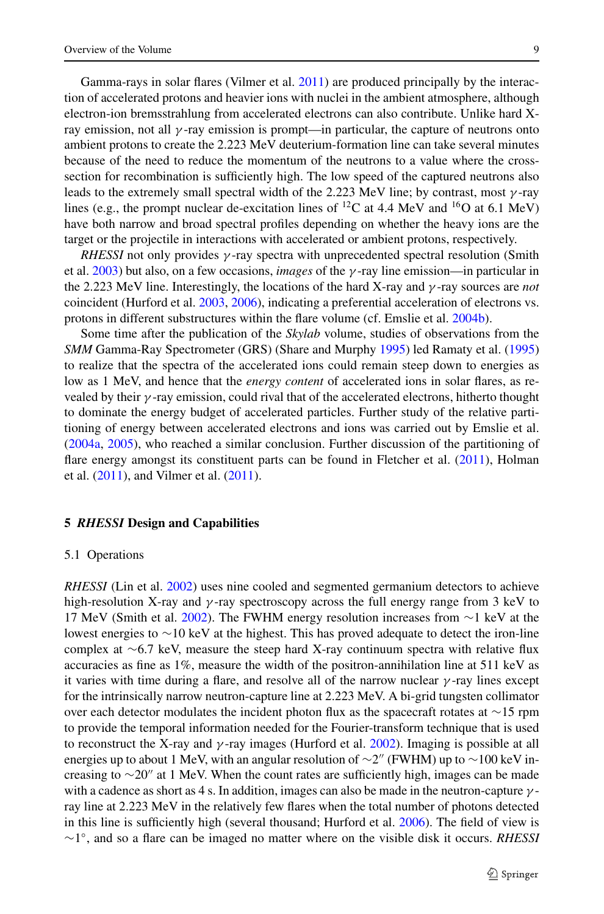Gamma-rays in solar flares (Vilmer et al. [2011](#page-14-4)) are produced principally by the interaction of accelerated protons and heavier ions with nuclei in the ambient atmosphere, although electron-ion bremsstrahlung from accelerated electrons can also contribute. Unlike hard Xray emission, not all *γ* -ray emission is prompt—in particular, the capture of neutrons onto ambient protons to create the 2.223 MeV deuterium-formation line can take several minutes because of the need to reduce the momentum of the neutrons to a value where the crosssection for recombination is sufficiently high. The low speed of the captured neutrons also leads to the extremely small spectral width of the 2.223 MeV line; by contrast, most *γ* -ray lines (e.g., the prompt nuclear de-excitation lines of <sup>12</sup>C at 4.4 MeV and <sup>16</sup>O at 6.1 MeV) have both narrow and broad spectral profiles depending on whether the heavy ions are the target or the projectile in interactions with accelerated or ambient protons, respectively.

*RHESSI* not only provides *γ*-ray spectra with unprecedented spectral resolution (Smith et al. [2003](#page-13-28)) but also, on a few occasions, *images* of the *γ* -ray line emission—in particular in the 2.223 MeV line. Interestingly, the locations of the hard X-ray and *γ* -ray sources are *not* coincident (Hurford et al. [2003,](#page-13-29) [2006](#page-13-30)), indicating a preferential acceleration of electrons vs. protons in different substructures within the flare volume (cf. Emslie et al. [2004b\)](#page-13-31).

Some time after the publication of the *Skylab* volume, studies of observations from the *SMM* Gamma-Ray Spectrometer (GRS) (Share and Murphy [1995](#page-13-32)) led Ramaty et al. [\(1995](#page-13-10)) to realize that the spectra of the accelerated ions could remain steep down to energies as low as 1 MeV, and hence that the *energy content* of accelerated ions in solar flares, as revealed by their  $\gamma$ -ray emission, could rival that of the accelerated electrons, hitherto thought to dominate the energy budget of accelerated particles. Further study of the relative partitioning of energy between accelerated electrons and ions was carried out by Emslie et al. ([2004a](#page-13-14), [2005](#page-12-2)), who reached a similar conclusion. Further discussion of the partitioning of flare energy amongst its constituent parts can be found in Fletcher et al. [\(2011](#page-13-23)), Holman et al. ([2011\)](#page-13-2), and Vilmer et al. [\(2011](#page-14-4)).

#### **5** *RHESSI* **Design and Capabilities**

#### 5.1 Operations

*RHESSI* (Lin et al. [2002](#page-13-33)) uses nine cooled and segmented germanium detectors to achieve high-resolution X-ray and *γ* -ray spectroscopy across the full energy range from 3 keV to 17 MeV (Smith et al. [2002\)](#page-13-34). The FWHM energy resolution increases from ∼1 keV at the lowest energies to ∼10 keV at the highest. This has proved adequate to detect the iron-line complex at ∼6.7 keV, measure the steep hard X-ray continuum spectra with relative flux accuracies as fine as 1%, measure the width of the positron-annihilation line at 511 keV as it varies with time during a flare, and resolve all of the narrow nuclear  $\gamma$ -ray lines except for the intrinsically narrow neutron-capture line at 2.223 MeV. A bi-grid tungsten collimator over each detector modulates the incident photon flux as the spacecraft rotates at ∼15 rpm to provide the temporal information needed for the Fourier-transform technique that is used to reconstruct the X-ray and *γ* -ray images (Hurford et al. [2002](#page-13-35)). Imaging is possible at all energies up to about 1 MeV, with an angular resolution of  $\sim$ 2" (FWHM) up to  $\sim$ 100 keV increasing to  $\sim$ 20" at 1 MeV. When the count rates are sufficiently high, images can be made with a cadence as short as 4 s. In addition, images can also be made in the neutron-capture *γ* ray line at 2.223 MeV in the relatively few flares when the total number of photons detected in this line is sufficiently high (several thousand; Hurford et al. [2006](#page-13-30)). The field of view is ∼1◦, and so a flare can be imaged no matter where on the visible disk it occurs. *RHESSI*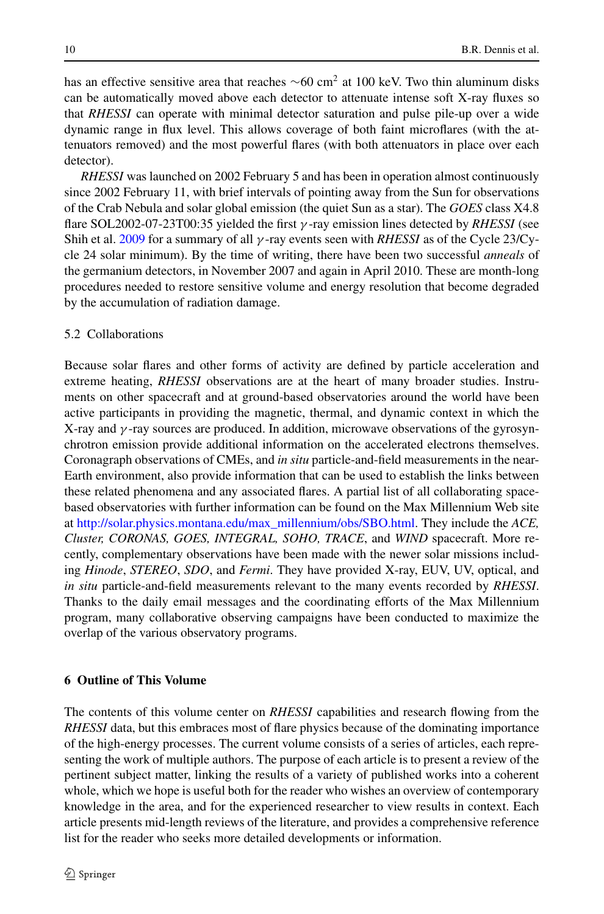has an effective sensitive area that reaches  $\sim 60 \text{ cm}^2$  at 100 keV. Two thin aluminum disks can be automatically moved above each detector to attenuate intense soft X-ray fluxes so that *RHESSI* can operate with minimal detector saturation and pulse pile-up over a wide dynamic range in flux level. This allows coverage of both faint microflares (with the attenuators removed) and the most powerful flares (with both attenuators in place over each detector).

*RHESSI* was launched on 2002 February 5 and has been in operation almost continuously since 2002 February 11, with brief intervals of pointing away from the Sun for observations of the Crab Nebula and solar global emission (the quiet Sun as a star). The *GOES* class X4.8 flare SOL2002-07-23T00:35 yielded the first *γ* -ray emission lines detected by *RHESSI* (see Shih et al. [2009](#page-13-36) for a summary of all *γ* -ray events seen with *RHESSI* as of the Cycle 23/Cycle 24 solar minimum). By the time of writing, there have been two successful *anneals* of the germanium detectors, in November 2007 and again in April 2010. These are month-long procedures needed to restore sensitive volume and energy resolution that become degraded by the accumulation of radiation damage.

# 5.2 Collaborations

Because solar flares and other forms of activity are defined by particle acceleration and extreme heating, *RHESSI* observations are at the heart of many broader studies. Instruments on other spacecraft and at ground-based observatories around the world have been active participants in providing the magnetic, thermal, and dynamic context in which the X-ray and *γ* -ray sources are produced. In addition, microwave observations of the gyrosynchrotron emission provide additional information on the accelerated electrons themselves. Coronagraph observations of CMEs, and *in situ* particle-and-field measurements in the near-Earth environment, also provide information that can be used to establish the links between these related phenomena and any associated flares. A partial list of all collaborating spacebased observatories with further information can be found on the Max Millennium Web site at [http://solar.physics.montana.edu/max\\_millennium/obs/SBO.html](http://solar.physics.montana.edu/max_millennium/obs/SBO.html). They include the *ACE, Cluster, CORONAS, GOES, INTEGRAL, SOHO, TRACE*, and *WIND* spacecraft. More recently, complementary observations have been made with the newer solar missions including *Hinode*, *STEREO*, *SDO*, and *Fermi*. They have provided X-ray, EUV, UV, optical, and *in situ* particle-and-field measurements relevant to the many events recorded by *RHESSI*. Thanks to the daily email messages and the coordinating efforts of the Max Millennium program, many collaborative observing campaigns have been conducted to maximize the overlap of the various observatory programs.

# **6 Outline of This Volume**

The contents of this volume center on *RHESSI* capabilities and research flowing from the *RHESSI* data, but this embraces most of flare physics because of the dominating importance of the high-energy processes. The current volume consists of a series of articles, each representing the work of multiple authors. The purpose of each article is to present a review of the pertinent subject matter, linking the results of a variety of published works into a coherent whole, which we hope is useful both for the reader who wishes an overview of contemporary knowledge in the area, and for the experienced researcher to view results in context. Each article presents mid-length reviews of the literature, and provides a comprehensive reference list for the reader who seeks more detailed developments or information.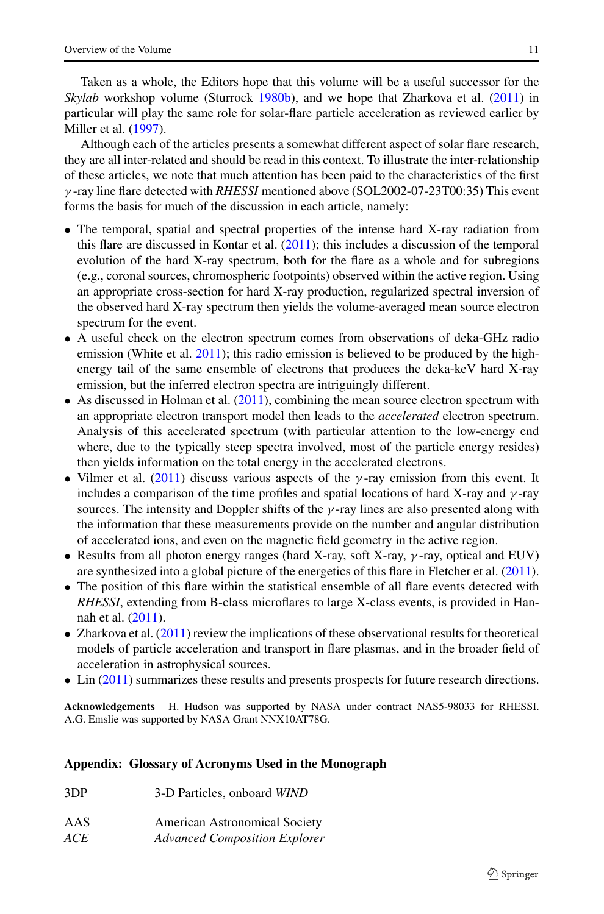Taken as a whole, the Editors hope that this volume will be a useful successor for the *Skylab* workshop volume (Sturrock [1980b\)](#page-14-0), and we hope that Zharkova et al. [\(2011](#page-14-2)) in particular will play the same role for solar-flare particle acceleration as reviewed earlier by Miller et al. ([1997\)](#page-13-20).

Although each of the articles presents a somewhat different aspect of solar flare research, they are all inter-related and should be read in this context. To illustrate the inter-relationship of these articles, we note that much attention has been paid to the characteristics of the first *γ* -ray line flare detected with *RHESSI* mentioned above (SOL2002-07-23T00:35) This event forms the basis for much of the discussion in each article, namely:

- The temporal, spatial and spectral properties of the intense hard X-ray radiation from this flare are discussed in Kontar et al. ([2011\)](#page-13-3); this includes a discussion of the temporal evolution of the hard X-ray spectrum, both for the flare as a whole and for subregions (e.g., coronal sources, chromospheric footpoints) observed within the active region. Using an appropriate cross-section for hard X-ray production, regularized spectral inversion of the observed hard X-ray spectrum then yields the volume-averaged mean source electron spectrum for the event.
- A useful check on the electron spectrum comes from observations of deka-GHz radio emission (White et al. [2011](#page-14-3)); this radio emission is believed to be produced by the highenergy tail of the same ensemble of electrons that produces the deka-keV hard X-ray emission, but the inferred electron spectra are intriguingly different.
- As discussed in Holman et al.  $(2011)$  $(2011)$ , combining the mean source electron spectrum with an appropriate electron transport model then leads to the *accelerated* electron spectrum. Analysis of this accelerated spectrum (with particular attention to the low-energy end where, due to the typically steep spectra involved, most of the particle energy resides) then yields information on the total energy in the accelerated electrons.
- Vilmer et al.  $(2011)$  $(2011)$  discuss various aspects of the *γ*-ray emission from this event. It includes a comparison of the time profiles and spatial locations of hard X-ray and  $\gamma$ -ray sources. The intensity and Doppler shifts of the *γ* -ray lines are also presented along with the information that these measurements provide on the number and angular distribution of accelerated ions, and even on the magnetic field geometry in the active region.
- Results from all photon energy ranges (hard X-ray, soft X-ray, *γ* -ray, optical and EUV) are synthesized into a global picture of the energetics of this flare in Fletcher et al. [\(2011](#page-13-23)).
- The position of this flare within the statistical ensemble of all flare events detected with *RHESSI*, extending from B-class microflares to large X-class events, is provided in Hannah et al. [\(2011](#page-13-5)).
- Zharkova et al. ([2011\)](#page-14-2) review the implications of these observational results for theoretical models of particle acceleration and transport in flare plasmas, and in the broader field of acceleration in astrophysical sources.
- Lin ([2011\)](#page-13-37) summarizes these results and presents prospects for future research directions.

**Acknowledgements** H. Hudson was supported by NASA under contract NAS5-98033 for RHESSI. A.G. Emslie was supported by NASA Grant NNX10AT78G.

## **Appendix: Glossary of Acronyms Used in the Monograph**

| 3DP | 3-D Particles, onboard WIND          |
|-----|--------------------------------------|
| AAS | <b>American Astronomical Society</b> |
| ACE | <b>Advanced Composition Explorer</b> |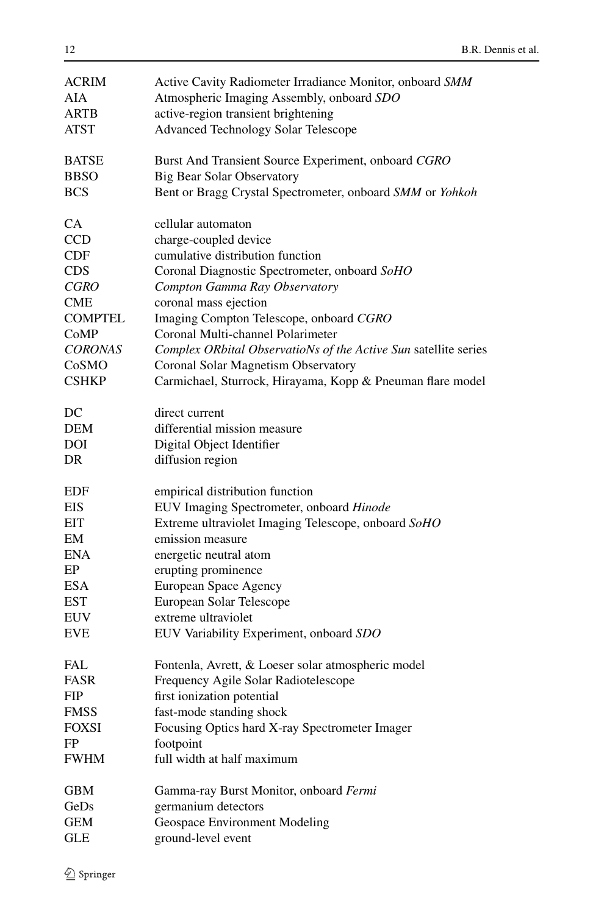| <b>ACRIM</b>   | Active Cavity Radiometer Irradiance Monitor, onboard SMM        |
|----------------|-----------------------------------------------------------------|
| AIA            | Atmospheric Imaging Assembly, onboard SDO                       |
| <b>ARTB</b>    | active-region transient brightening                             |
| <b>ATST</b>    | <b>Advanced Technology Solar Telescope</b>                      |
| <b>BATSE</b>   | Burst And Transient Source Experiment, onboard CGRO             |
| <b>BBSO</b>    | <b>Big Bear Solar Observatory</b>                               |
| <b>BCS</b>     | Bent or Bragg Crystal Spectrometer, onboard SMM or Yohkoh       |
| CA             | cellular automaton                                              |
| CCD            | charge-coupled device                                           |
| <b>CDF</b>     | cumulative distribution function                                |
| <b>CDS</b>     | Coronal Diagnostic Spectrometer, onboard SoHO                   |
| <i>CGRO</i>    | Compton Gamma Ray Observatory                                   |
| <b>CME</b>     | coronal mass ejection                                           |
| <b>COMPTEL</b> | Imaging Compton Telescope, onboard CGRO                         |
| CoMP           | Coronal Multi-channel Polarimeter                               |
| <b>CORONAS</b> | Complex ORbital ObservatioNs of the Active Sun satellite series |
| CoSMO          | Coronal Solar Magnetism Observatory                             |
| <b>CSHKP</b>   | Carmichael, Sturrock, Hirayama, Kopp & Pneuman flare model      |
| DC             | direct current                                                  |
| DEM            | differential mission measure                                    |
| DOI            | Digital Object Identifier                                       |
| DR             | diffusion region                                                |
| EDF            | empirical distribution function                                 |
| <b>EIS</b>     | EUV Imaging Spectrometer, onboard Hinode                        |
| EIT            | Extreme ultraviolet Imaging Telescope, onboard SoHO             |
| EM             | emission measure                                                |
| ENA            | energetic neutral atom                                          |
| EP             | erupting prominence                                             |
| <b>ESA</b>     | European Space Agency                                           |
| EST            | European Solar Telescope                                        |
| EUV            | extreme ultraviolet                                             |
| <b>EVE</b>     | EUV Variability Experiment, onboard SDO                         |
| FAL            | Fontenla, Avrett, & Loeser solar atmospheric model              |
| FASR           | Frequency Agile Solar Radiotelescope                            |
| FIP            | first ionization potential                                      |
| <b>FMSS</b>    | fast-mode standing shock                                        |
| <b>FOXSI</b>   | Focusing Optics hard X-ray Spectrometer Imager                  |
| FP             | footpoint                                                       |
| <b>FWHM</b>    | full width at half maximum                                      |
| <b>GBM</b>     | Gamma-ray Burst Monitor, onboard Fermi                          |
| GeDs           | germanium detectors                                             |
| GEM            | <b>Geospace Environment Modeling</b>                            |
| <b>GLE</b>     | ground-level event                                              |
|                |                                                                 |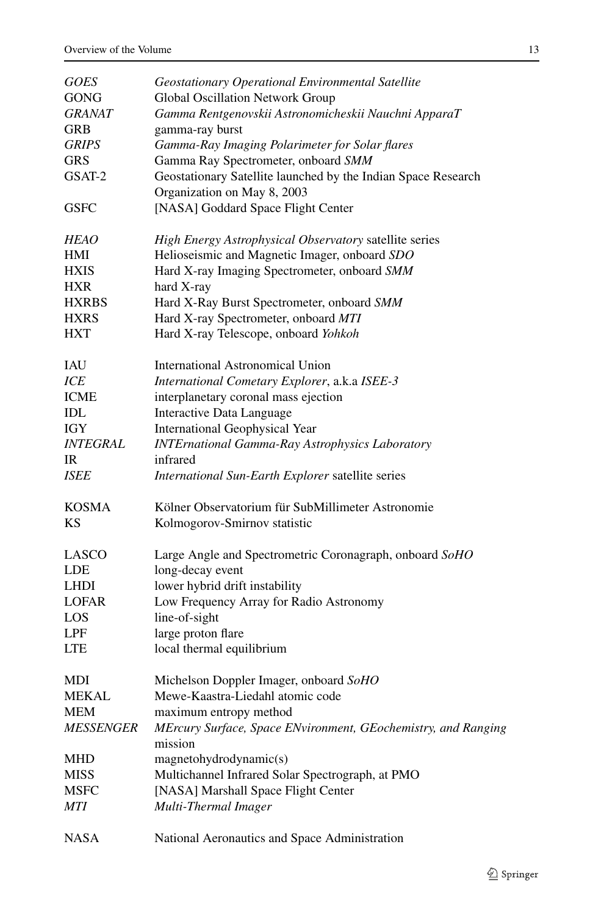| <b>GOES</b>      | Geostationary Operational Environmental Satellite                                            |
|------------------|----------------------------------------------------------------------------------------------|
| GONG             | Global Oscillation Network Group                                                             |
| <b>GRANAT</b>    | Gamma Rentgenovskii Astronomicheskii Nauchni ApparaT                                         |
| <b>GRB</b>       | gamma-ray burst                                                                              |
| <b>GRIPS</b>     | Gamma-Ray Imaging Polarimeter for Solar flares                                               |
| <b>GRS</b>       | Gamma Ray Spectrometer, onboard SMM                                                          |
| GSAT-2           | Geostationary Satellite launched by the Indian Space Research<br>Organization on May 8, 2003 |
| <b>GSFC</b>      | [NASA] Goddard Space Flight Center                                                           |
| <i>HEAO</i>      | High Energy Astrophysical Observatory satellite series                                       |
| HMI              | Helioseismic and Magnetic Imager, onboard SDO                                                |
| <b>HXIS</b>      | Hard X-ray Imaging Spectrometer, onboard SMM                                                 |
| <b>HXR</b>       | hard X-ray                                                                                   |
| <b>HXRBS</b>     | Hard X-Ray Burst Spectrometer, onboard SMM                                                   |
| <b>HXRS</b>      | Hard X-ray Spectrometer, onboard MTI                                                         |
| HXT              | Hard X-ray Telescope, onboard Yohkoh                                                         |
| IAU              | International Astronomical Union                                                             |
| <b>ICE</b>       | International Cometary Explorer, a.k.a ISEE-3                                                |
| <b>ICME</b>      | interplanetary coronal mass ejection                                                         |
| IDL              | Interactive Data Language                                                                    |
| <b>IGY</b>       | <b>International Geophysical Year</b>                                                        |
| <b>INTEGRAL</b>  | <b>INTErnational Gamma-Ray Astrophysics Laboratory</b>                                       |
| IR               | infrared                                                                                     |
| <b>ISEE</b>      | International Sun-Earth Explorer satellite series                                            |
| <b>KOSMA</b>     | Kölner Observatorium für SubMillimeter Astronomie                                            |
| KS               | Kolmogorov-Smirnov statistic                                                                 |
| LASCO            | Large Angle and Spectrometric Coronagraph, onboard SoHO                                      |
| <b>LDE</b>       | long-decay event                                                                             |
| <b>LHDI</b>      | lower hybrid drift instability                                                               |
| <b>LOFAR</b>     | Low Frequency Array for Radio Astronomy                                                      |
| LOS              | line-of-sight                                                                                |
| LPF              | large proton flare                                                                           |
| <b>LTE</b>       | local thermal equilibrium                                                                    |
| MDI              | Michelson Doppler Imager, onboard SoHO                                                       |
| <b>MEKAL</b>     | Mewe-Kaastra-Liedahl atomic code                                                             |
| <b>MEM</b>       | maximum entropy method                                                                       |
| <b>MESSENGER</b> | MErcury Surface, Space ENvironment, GEochemistry, and Ranging<br>mission                     |
| MHD              | magnetohydrodynamic(s)                                                                       |
| <b>MISS</b>      | Multichannel Infrared Solar Spectrograph, at PMO                                             |
| <b>MSFC</b>      | [NASA] Marshall Space Flight Center                                                          |
| МTI              | Multi-Thermal Imager                                                                         |
| <b>NASA</b>      | National Aeronautics and Space Administration                                                |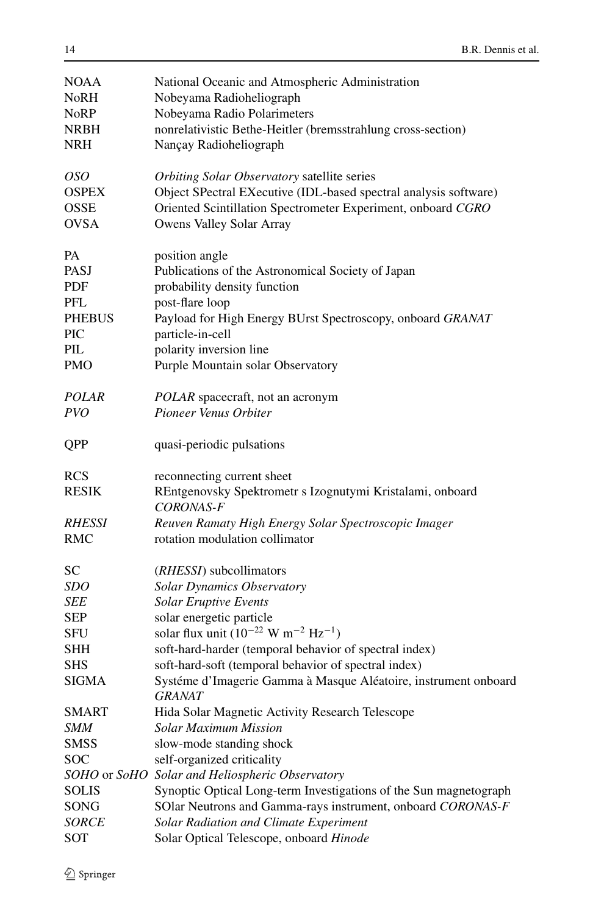| <b>NOAA</b>    | National Oceanic and Atmospheric Administration                                  |
|----------------|----------------------------------------------------------------------------------|
| NoRH           | Nobeyama Radioheliograph                                                         |
| <b>NoRP</b>    | Nobeyama Radio Polarimeters                                                      |
| NRBH           | nonrelativistic Bethe-Heitler (bremsstrahlung cross-section)                     |
| NRH            | Nançay Radioheliograph                                                           |
| <sub>OSO</sub> | Orbiting Solar Observatory satellite series                                      |
| <b>OSPEX</b>   | Object SPectral EXecutive (IDL-based spectral analysis software)                 |
| <b>OSSE</b>    | Oriented Scintillation Spectrometer Experiment, onboard CGRO                     |
| <b>OVSA</b>    | Owens Valley Solar Array                                                         |
| PA             | position angle                                                                   |
| <b>PASJ</b>    | Publications of the Astronomical Society of Japan                                |
| PDF            | probability density function                                                     |
| PFL            | post-flare loop                                                                  |
| <b>PHEBUS</b>  | Payload for High Energy BUrst Spectroscopy, onboard GRANAT                       |
| <b>PIC</b>     | particle-in-cell                                                                 |
| PIL            | polarity inversion line                                                          |
| <b>PMO</b>     | Purple Mountain solar Observatory                                                |
| <b>POLAR</b>   | POLAR spacecraft, not an acronym                                                 |
| PVO            | Pioneer Venus Orbiter                                                            |
| QPP            | quasi-periodic pulsations                                                        |
| <b>RCS</b>     | reconnecting current sheet                                                       |
| <b>RESIK</b>   | REntgenovsky Spektrometr s Izognutymi Kristalami, onboard                        |
|                | <b>CORONAS-F</b>                                                                 |
| <i>RHESSI</i>  | Reuven Ramaty High Energy Solar Spectroscopic Imager                             |
| RMC            | rotation modulation collimator                                                   |
| SC             | (RHESSI) subcollimators                                                          |
| <i>SDO</i>     | Solar Dynamics Observatory                                                       |
| SEE            | <b>Solar Eruptive Events</b>                                                     |
| SEP            | solar energetic particle                                                         |
| SFU            | solar flux unit $(10^{-22} \text{ W m}^{-2} \text{ Hz}^{-1})$                    |
| SHH            | soft-hard-harder (temporal behavior of spectral index)                           |
| <b>SHS</b>     | soft-hard-soft (temporal behavior of spectral index)                             |
| SIGMA          | Systéme d'Imagerie Gamma à Masque Aléatoire, instrument onboard<br><b>GRANAT</b> |
| <b>SMART</b>   | Hida Solar Magnetic Activity Research Telescope                                  |
| SMM            | Solar Maximum Mission                                                            |
| <b>SMSS</b>    | slow-mode standing shock                                                         |
| SOC            | self-organized criticality                                                       |
|                | SOHO or SoHO Solar and Heliospheric Observatory                                  |
| <b>SOLIS</b>   | Synoptic Optical Long-term Investigations of the Sun magnetograph                |
| SONG           | SOlar Neutrons and Gamma-rays instrument, onboard CORONAS-F                      |
| <i>SORCE</i>   | Solar Radiation and Climate Experiment                                           |
| SOT            | Solar Optical Telescope, onboard Hinode                                          |
|                |                                                                                  |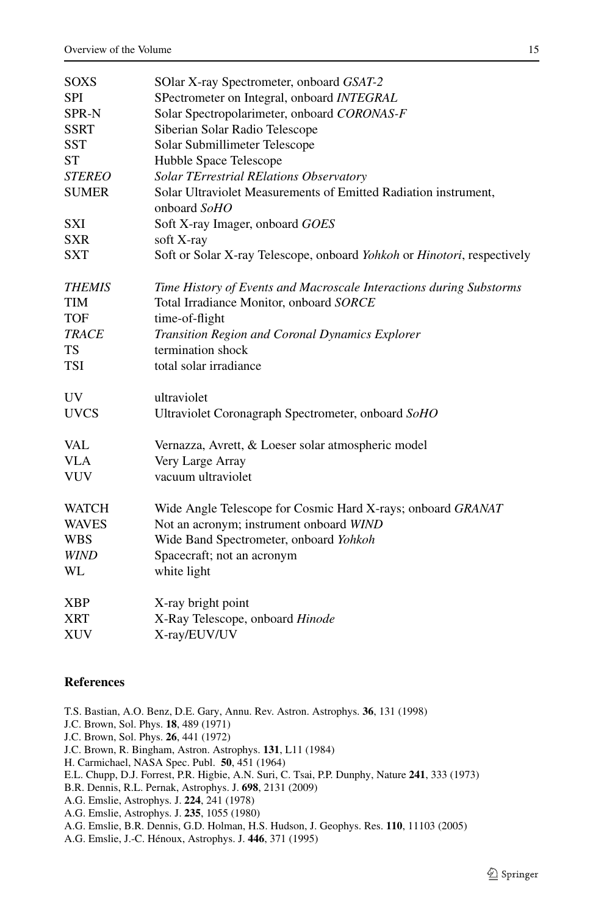| <b>SOXS</b>   | SOlar X-ray Spectrometer, onboard GSAT-2                                        |
|---------------|---------------------------------------------------------------------------------|
| <b>SPI</b>    | SPectrometer on Integral, onboard INTEGRAL                                      |
| SPR-N         | Solar Spectropolarimeter, onboard CORONAS-F                                     |
| <b>SSRT</b>   | Siberian Solar Radio Telescope                                                  |
| SST           | Solar Submillimeter Telescope                                                   |
| <b>ST</b>     | Hubble Space Telescope                                                          |
| <b>STEREO</b> | Solar TErrestrial RElations Observatory                                         |
| <b>SUMER</b>  | Solar Ultraviolet Measurements of Emitted Radiation instrument,<br>onboard SoHO |
| SXI           | Soft X-ray Imager, onboard GOES                                                 |
| <b>SXR</b>    | soft X-ray                                                                      |
| <b>SXT</b>    | Soft or Solar X-ray Telescope, onboard Yohkoh or Hinotori, respectively         |
| <b>THEMIS</b> | Time History of Events and Macroscale Interactions during Substorms             |
| TIM           | Total Irradiance Monitor, onboard SORCE                                         |
| <b>TOF</b>    | time-of-flight                                                                  |
| <b>TRACE</b>  | Transition Region and Coronal Dynamics Explorer                                 |
| TS            | termination shock                                                               |
| <b>TSI</b>    | total solar irradiance                                                          |
| UV            | ultraviolet                                                                     |
| <b>UVCS</b>   | Ultraviolet Coronagraph Spectrometer, onboard SoHO                              |
| <b>VAL</b>    | Vernazza, Avrett, & Loeser solar atmospheric model                              |
| <b>VLA</b>    | Very Large Array                                                                |
| <b>VUV</b>    | vacuum ultraviolet                                                              |
| <b>WATCH</b>  | Wide Angle Telescope for Cosmic Hard X-rays; onboard GRANAT                     |
| <b>WAVES</b>  | Not an acronym; instrument onboard WIND                                         |
| <b>WBS</b>    | Wide Band Spectrometer, onboard Yohkoh                                          |
| <b>WIND</b>   | Spacecraft; not an acronym                                                      |
| WL            | white light                                                                     |
| XBP           | X-ray bright point                                                              |
| <b>XRT</b>    | X-Ray Telescope, onboard Hinode                                                 |
| <b>XUV</b>    | X-ray/EUV/UV                                                                    |
|               |                                                                                 |

# <span id="page-12-10"></span><span id="page-12-9"></span><span id="page-12-8"></span><span id="page-12-7"></span><span id="page-12-6"></span><span id="page-12-4"></span><span id="page-12-3"></span><span id="page-12-1"></span><span id="page-12-0"></span>**References**

<span id="page-12-5"></span><span id="page-12-2"></span>T.S. Bastian, A.O. Benz, D.E. Gary, Annu. Rev. Astron. Astrophys. **36**, 131 (1998)

- J.C. Brown, Sol. Phys. **18**, 489 (1971)
- J.C. Brown, Sol. Phys. **26**, 441 (1972)
- J.C. Brown, R. Bingham, Astron. Astrophys. **131**, L11 (1984)

H. Carmichael, NASA Spec. Publ. **50**, 451 (1964)

- E.L. Chupp, D.J. Forrest, P.R. Higbie, A.N. Suri, C. Tsai, P.P. Dunphy, Nature **241**, 333 (1973)
- B.R. Dennis, R.L. Pernak, Astrophys. J. **698**, 2131 (2009)
- A.G. Emslie, Astrophys. J. **224**, 241 (1978)
- A.G. Emslie, Astrophys. J. **235**, 1055 (1980)
- A.G. Emslie, B.R. Dennis, G.D. Holman, H.S. Hudson, J. Geophys. Res. **110**, 11103 (2005)
- A.G. Emslie, J.-C. Hénoux, Astrophys. J. **446**, 371 (1995)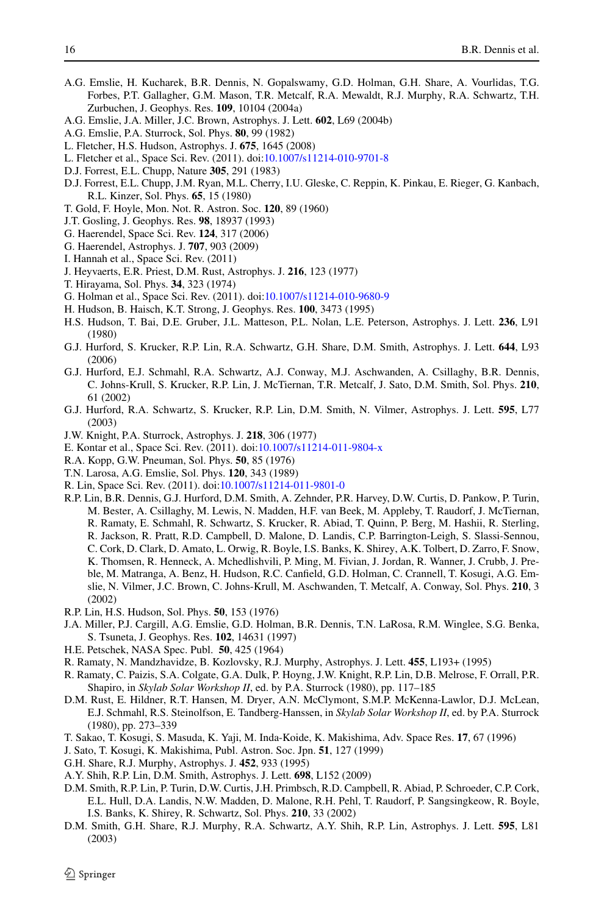- <span id="page-13-31"></span><span id="page-13-26"></span><span id="page-13-24"></span><span id="page-13-23"></span><span id="page-13-15"></span><span id="page-13-14"></span><span id="page-13-12"></span><span id="page-13-9"></span><span id="page-13-8"></span>A.G. Emslie, H. Kucharek, B.R. Dennis, N. Gopalswamy, G.D. Holman, G.H. Share, A. Vourlidas, T.G. Forbes, P.T. Gallagher, G.M. Mason, T.R. Metcalf, R.A. Mewaldt, R.J. Murphy, R.A. Schwartz, T.H. Zurbuchen, J. Geophys. Res. **109**, 10104 (2004a)
- <span id="page-13-27"></span><span id="page-13-25"></span>A.G. Emslie, J.A. Miller, J.C. Brown, Astrophys. J. Lett. **602**, L69 (2004b)
- A.G. Emslie, P.A. Sturrock, Sol. Phys. **80**, 99 (1982)
- <span id="page-13-16"></span><span id="page-13-5"></span>L. Fletcher, H.S. Hudson, Astrophys. J. **675**, 1645 (2008)
- <span id="page-13-18"></span>L. Fletcher et al., Space Sci. Rev. (2011). doi[:10.1007/s11214-010-9701-8](http://dx.doi.org/10.1007/s11214-010-9701-8)
- <span id="page-13-2"></span>D.J. Forrest, E.L. Chupp, Nature **305**, 291 (1983)
- <span id="page-13-13"></span>D.J. Forrest, E.L. Chupp, J.M. Ryan, M.L. Cherry, I.U. Gleske, C. Reppin, K. Pinkau, E. Rieger, G. Kanbach, R.L. Kinzer, Sol. Phys. **65**, 15 (1980)
- <span id="page-13-30"></span><span id="page-13-7"></span>T. Gold, F. Hoyle, Mon. Not. R. Astron. Soc. **120**, 89 (1960)
- J.T. Gosling, J. Geophys. Res. **98**, 18937 (1993)
- G. Haerendel, Space Sci. Rev. **124**, 317 (2006)
- <span id="page-13-35"></span>G. Haerendel, Astrophys. J. **707**, 903 (2009)
- I. Hannah et al., Space Sci. Rev. (2011)
- J. Heyvaerts, E.R. Priest, D.M. Rust, Astrophys. J. **216**, 123 (1977)
- <span id="page-13-29"></span>T. Hirayama, Sol. Phys. **34**, 323 (1974)
- <span id="page-13-21"></span>G. Holman et al., Space Sci. Rev. (2011). doi:[10.1007/s11214-010-9680-9](http://dx.doi.org/10.1007/s11214-010-9680-9)
- H. Hudson, B. Haisch, K.T. Strong, J. Geophys. Res. **100**, 3473 (1995)
- <span id="page-13-3"></span>H.S. Hudson, T. Bai, D.E. Gruber, J.L. Matteson, P.L. Nolan, L.E. Peterson, Astrophys. J. Lett. **236**, L91 (1980)
- <span id="page-13-37"></span><span id="page-13-22"></span><span id="page-13-19"></span>G.J. Hurford, S. Krucker, R.P. Lin, R.A. Schwartz, G.H. Share, D.M. Smith, Astrophys. J. Lett. **644**, L93 (2006)
- <span id="page-13-33"></span>G.J. Hurford, E.J. Schmahl, R.A. Schwartz, A.J. Conway, M.J. Aschwanden, A. Csillaghy, B.R. Dennis, C. Johns-Krull, S. Krucker, R.P. Lin, J. McTiernan, T.R. Metcalf, J. Sato, D.M. Smith, Sol. Phys. **210**, 61 (2002)
- G.J. Hurford, R.A. Schwartz, S. Krucker, R.P. Lin, D.M. Smith, N. Vilmer, Astrophys. J. Lett. **595**, L77 (2003)
- J.W. Knight, P.A. Sturrock, Astrophys. J. **218**, 306 (1977)
- E. Kontar et al., Space Sci. Rev. (2011). doi:[10.1007/s11214-011-9804-x](http://dx.doi.org/10.1007/s11214-011-9804-x)
- R.A. Kopp, G.W. Pneuman, Sol. Phys. **50**, 85 (1976)
- T.N. Larosa, A.G. Emslie, Sol. Phys. **120**, 343 (1989)
- <span id="page-13-1"></span>R. Lin, Space Sci. Rev. (2011). doi[:10.1007/s11214-011-9801-0](http://dx.doi.org/10.1007/s11214-011-9801-0)
- <span id="page-13-20"></span><span id="page-13-17"></span><span id="page-13-10"></span><span id="page-13-0"></span>R.P. Lin, B.R. Dennis, G.J. Hurford, D.M. Smith, A. Zehnder, P.R. Harvey, D.W. Curtis, D. Pankow, P. Turin, M. Bester, A. Csillaghy, M. Lewis, N. Madden, H.F. van Beek, M. Appleby, T. Raudorf, J. McTiernan, R. Ramaty, E. Schmahl, R. Schwartz, S. Krucker, R. Abiad, T. Quinn, P. Berg, M. Hashii, R. Sterling, R. Jackson, R. Pratt, R.D. Campbell, D. Malone, D. Landis, C.P. Barrington-Leigh, S. Slassi-Sennou, C. Cork, D. Clark, D. Amato, L. Orwig, R. Boyle, I.S. Banks, K. Shirey, A.K. Tolbert, D. Zarro, F. Snow, K. Thomsen, R. Henneck, A. Mchedlishvili, P. Ming, M. Fivian, J. Jordan, R. Wanner, J. Crubb, J. Preble, M. Matranga, A. Benz, H. Hudson, R.C. Canfield, G.D. Holman, C. Crannell, T. Kosugi, A.G. Emslie, N. Vilmer, J.C. Brown, C. Johns-Krull, M. Aschwanden, T. Metcalf, A. Conway, Sol. Phys. **210**, 3 (2002)
- <span id="page-13-11"></span><span id="page-13-6"></span>R.P. Lin, H.S. Hudson, Sol. Phys. **50**, 153 (1976)
- <span id="page-13-4"></span>J.A. Miller, P.J. Cargill, A.G. Emslie, G.D. Holman, B.R. Dennis, T.N. LaRosa, R.M. Winglee, S.G. Benka, S. Tsuneta, J. Geophys. Res. **102**, 14631 (1997)
- <span id="page-13-36"></span><span id="page-13-32"></span>H.E. Petschek, NASA Spec. Publ. **50**, 425 (1964)
- <span id="page-13-34"></span>R. Ramaty, N. Mandzhavidze, B. Kozlovsky, R.J. Murphy, Astrophys. J. Lett. **455**, L193+ (1995)
- R. Ramaty, C. Paizis, S.A. Colgate, G.A. Dulk, P. Hoyng, J.W. Knight, R.P. Lin, D.B. Melrose, F. Orrall, P.R. Shapiro, in *Skylab Solar Workshop II*, ed. by P.A. Sturrock (1980), pp. 117–185
- <span id="page-13-28"></span>D.M. Rust, E. Hildner, R.T. Hansen, M. Dryer, A.N. McClymont, S.M.P. McKenna-Lawlor, D.J. McLean, E.J. Schmahl, R.S. Steinolfson, E. Tandberg-Hanssen, in *Skylab Solar Workshop II*, ed. by P.A. Sturrock (1980), pp. 273–339
- T. Sakao, T. Kosugi, S. Masuda, K. Yaji, M. Inda-Koide, K. Makishima, Adv. Space Res. **17**, 67 (1996)
- J. Sato, T. Kosugi, K. Makishima, Publ. Astron. Soc. Jpn. **51**, 127 (1999)
- G.H. Share, R.J. Murphy, Astrophys. J. **452**, 933 (1995)
- A.Y. Shih, R.P. Lin, D.M. Smith, Astrophys. J. Lett. **698**, L152 (2009)
- D.M. Smith, R.P. Lin, P. Turin, D.W. Curtis, J.H. Primbsch, R.D. Campbell, R. Abiad, P. Schroeder, C.P. Cork, E.L. Hull, D.A. Landis, N.W. Madden, D. Malone, R.H. Pehl, T. Raudorf, P. Sangsingkeow, R. Boyle, I.S. Banks, K. Shirey, R. Schwartz, Sol. Phys. **210**, 33 (2002)
- D.M. Smith, G.H. Share, R.J. Murphy, R.A. Schwartz, A.Y. Shih, R.P. Lin, Astrophys. J. Lett. **595**, L81 (2003)